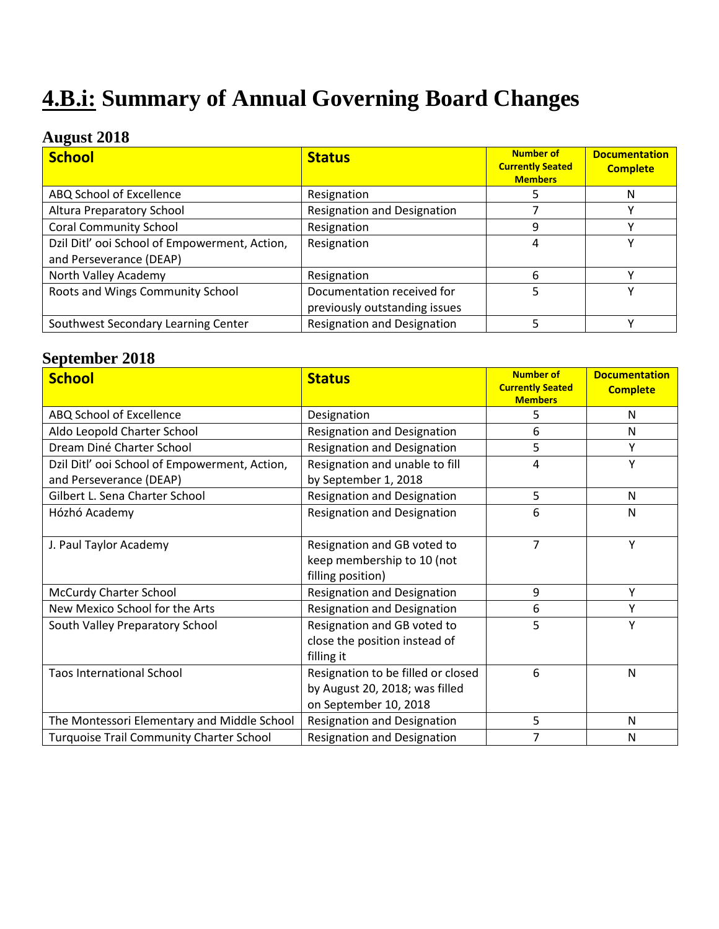# **4.B.i: Summary of Annual Governing Board Changes**

### **August 2018**

| <b>School</b>                                                            | <b>Status</b>                                               | <b>Number of</b><br><b>Currently Seated</b><br><b>Members</b> | <b>Documentation</b><br><b>Complete</b> |
|--------------------------------------------------------------------------|-------------------------------------------------------------|---------------------------------------------------------------|-----------------------------------------|
| ABQ School of Excellence                                                 | Resignation                                                 |                                                               | N                                       |
| Altura Preparatory School                                                | <b>Resignation and Designation</b>                          |                                                               |                                         |
| <b>Coral Community School</b>                                            | Resignation                                                 | q                                                             |                                         |
| Dzil Ditl' ooi School of Empowerment, Action,<br>and Perseverance (DEAP) | Resignation                                                 | 4                                                             |                                         |
| North Valley Academy                                                     | Resignation                                                 | 6                                                             |                                         |
| Roots and Wings Community School                                         | Documentation received for<br>previously outstanding issues | 5                                                             |                                         |
| Southwest Secondary Learning Center                                      | <b>Resignation and Designation</b>                          |                                                               |                                         |

### **September 2018**

| <b>School</b>                                   | <b>Status</b>                                                                                 | <b>Number of</b><br><b>Currently Seated</b><br><b>Members</b> | <b>Documentation</b><br><b>Complete</b> |
|-------------------------------------------------|-----------------------------------------------------------------------------------------------|---------------------------------------------------------------|-----------------------------------------|
| ABQ School of Excellence                        | Designation                                                                                   | 5                                                             | N                                       |
| Aldo Leopold Charter School                     | <b>Resignation and Designation</b>                                                            | 6                                                             | Ν                                       |
| Dream Diné Charter School                       | <b>Resignation and Designation</b>                                                            | 5                                                             | Υ                                       |
| Dzil Ditl' ooi School of Empowerment, Action,   | Resignation and unable to fill                                                                | 4                                                             | Y                                       |
| and Perseverance (DEAP)                         | by September 1, 2018                                                                          |                                                               |                                         |
| Gilbert L. Sena Charter School                  | <b>Resignation and Designation</b>                                                            | 5                                                             | Ν                                       |
| Hózhó Academy                                   | <b>Resignation and Designation</b>                                                            | 6                                                             | N                                       |
| J. Paul Taylor Academy                          | Resignation and GB voted to<br>keep membership to 10 (not<br>filling position)                | 7                                                             | Y                                       |
| <b>McCurdy Charter School</b>                   | <b>Resignation and Designation</b>                                                            | 9                                                             | Υ                                       |
| New Mexico School for the Arts                  | <b>Resignation and Designation</b>                                                            | 6                                                             | Υ                                       |
| South Valley Preparatory School                 | Resignation and GB voted to<br>close the position instead of<br>filling it                    | 5                                                             | Υ                                       |
| <b>Taos International School</b>                | Resignation to be filled or closed<br>by August 20, 2018; was filled<br>on September 10, 2018 | 6                                                             | Ν                                       |
| The Montessori Elementary and Middle School     | <b>Resignation and Designation</b>                                                            | 5                                                             | Ν                                       |
| <b>Turquoise Trail Community Charter School</b> | <b>Resignation and Designation</b>                                                            | 7                                                             | N                                       |